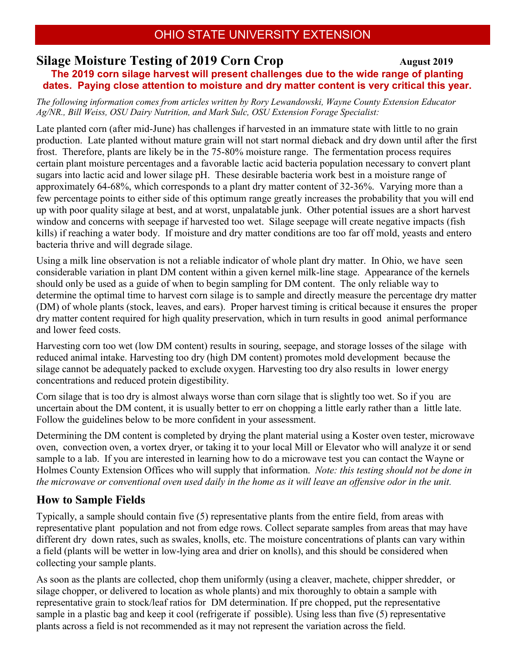# **Silage Moisture Testing of 2019 Corn Crop August 2019**

**The 2019 corn silage harvest will present challenges due to the wide range of planting dates. Paying close attention to moisture and dry matter content is very critical this year.**

*The following information comes from articles written by Rory Lewandowski, Wayne County Extension Educator Ag/NR., Bill Weiss, OSU Dairy Nutrition, and Mark Sulc, OSU Extension Forage Specialist:*

Late planted corn (after mid-June) has challenges if harvested in an immature state with little to no grain production. Late planted without mature grain will not start normal dieback and dry down until after the first frost. Therefore, plants are likely be in the 75-80% moisture range. The fermentation process requires certain plant moisture percentages and a favorable lactic acid bacteria population necessary to convert plant sugars into lactic acid and lower silage pH. These desirable bacteria work best in a moisture range of approximately 64-68%, which corresponds to a plant dry matter content of 32-36%. Varying more than a few percentage points to either side of this optimum range greatly increases the probability that you will end up with poor quality silage at best, and at worst, unpalatable junk. Other potential issues are a short harvest window and concerns with seepage if harvested too wet. Silage seepage will create negative impacts (fish kills) if reaching a water body. If moisture and dry matter conditions are too far off mold, yeasts and entero bacteria thrive and will degrade silage.

Using a milk line observation is not a reliable indicator of whole plant dry matter. In Ohio, we have seen considerable variation in plant DM content within a given kernel milk-line stage. Appearance of the kernels should only be used as a guide of when to begin sampling for DM content. The only reliable way to determine the optimal time to harvest corn silage is to sample and directly measure the percentage dry matter (DM) of whole plants (stock, leaves, and ears). Proper harvest timing is critical because it ensures the proper dry matter content required for high quality preservation, which in turn results in good animal performance and lower feed costs.

Harvesting corn too wet (low DM content) results in souring, seepage, and storage losses of the silage with reduced animal intake. Harvesting too dry (high DM content) promotes mold development because the silage cannot be adequately packed to exclude oxygen. Harvesting too dry also results in lower energy concentrations and reduced protein digestibility.

Corn silage that is too dry is almost always worse than corn silage that is slightly too wet. So if you are uncertain about the DM content, it is usually better to err on chopping a little early rather than a little late. Follow the guidelines below to be more confident in your assessment.

Determining the DM content is completed by drying the plant material using a Koster oven tester, microwave oven, convection oven, a vortex dryer, or taking it to your local Mill or Elevator who will analyze it or send sample to a lab. If you are interested in learning how to do a microwave test you can contact the Wayne or Holmes County Extension Offices who will supply that information. *Note: this testing should not be done in the microwave or conventional oven used daily in the home as it will leave an offensive odor in the unit.*

### **How to Sample Fields**

Typically, a sample should contain five (5) representative plants from the entire field, from areas with representative plant population and not from edge rows. Collect separate samples from areas that may have different dry down rates, such as swales, knolls, etc. The moisture concentrations of plants can vary within a field (plants will be wetter in low-lying area and drier on knolls), and this should be considered when collecting your sample plants.

As soon as the plants are collected, chop them uniformly (using a cleaver, machete, chipper shredder, or silage chopper, or delivered to location as whole plants) and mix thoroughly to obtain a sample with representative grain to stock/leaf ratios for DM determination. If pre chopped, put the representative sample in a plastic bag and keep it cool (refrigerate if possible). Using less than five (5) representative plants across a field is not recommended as it may not represent the variation across the field.